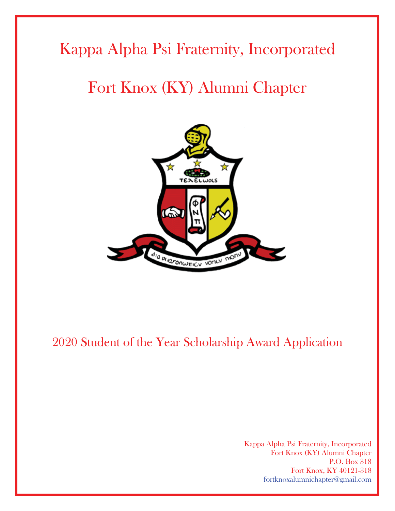# Kappa Alpha Psi Fraternity, Incorporated

# Fort Knox (KY) Alumni Chapter



# 2020 Student of the Year Scholarship Award Application

Kappa Alpha Psi Fraternity, Incorporated Fort Knox (KY) Alumni Chapter P.O. Box 318 Fort Knox, KY 40121-318 fortknoxalumnichapter@gmail.com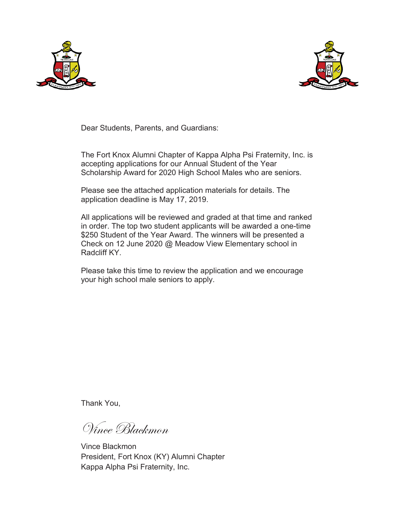



Dear Students, Parents, and Guardians:

The Fort Knox Alumni Chapter of Kappa Alpha Psi Fraternity, Inc. is accepting applications for our Annual Student of the Year Scholarship Award for 2020 High School Males who are seniors.

Please see the attached application materials for details. The application deadline is May 17, 2019.

All applications will be reviewed and graded at that time and ranked in order. The top two student applicants will be awarded a one-time \$250 Student of the Year Award. The winners will be presented a Check on 12 June 2020 @ Meadow View Elementary school in Radcliff KY.

Please take this time to review the application and we encourage your high school male seniors to apply.

Thank You,

Vince Blackmon

Vince Blackmon President, Fort Knox (KY) Alumni Chapter Kappa Alpha Psi Fraternity, Inc.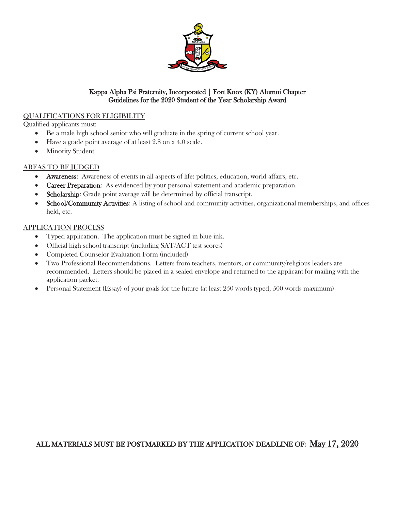

#### QUALIFICATIONS FOR ELIGIBILITY

Qualified applicants must:

- Be a male high school senior who will graduate in the spring of current school year.
- $\bullet$  Have a grade point average of at least 2.8 on a 4.0 scale.
- Minority Student

#### AREAS TO BE JUDGED

- x Awareness: Awareness of events in all aspects of life: politics, education, world affairs, etc.
- Career Preparation: As evidenced by your personal statement and academic preparation.
- Scholarship: Grade point average will be determined by official transcript.
- School/Community Activities: A listing of school and community activities, organizational memberships, and offices held, etc.

#### APPLICATION PROCESS

- Typed application. The application must be signed in blue ink.
- Official high school transcript (including SAT/ACT test scores)
- Completed Counselor Evaluation Form (included)
- x Two Professional Recommendations. Letters from teachers, mentors, or community/religious leaders are recommended. Letters should be placed in a sealed envelope and returned to the applicant for mailing with the application packet.
- **•** Personal Statement (Essay) of your goals for the future (at least  $250$  words typed,  $500$  words maximum)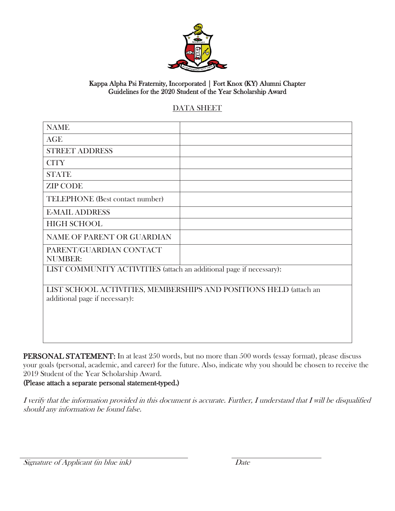

### DATA SHEET

| <b>NAME</b>                                                         |  |  |  |  |
|---------------------------------------------------------------------|--|--|--|--|
| <b>AGE</b>                                                          |  |  |  |  |
| <b>STREET ADDRESS</b>                                               |  |  |  |  |
| <b>CITY</b>                                                         |  |  |  |  |
| <b>STATE</b>                                                        |  |  |  |  |
| <b>ZIP CODE</b>                                                     |  |  |  |  |
| TELEPHONE (Best contact number)                                     |  |  |  |  |
| <b>E-MAIL ADDRESS</b>                                               |  |  |  |  |
| <b>HIGH SCHOOL</b>                                                  |  |  |  |  |
| <b>NAME OF PARENT OR GUARDIAN</b>                                   |  |  |  |  |
| PARENT/GUARDIAN CONTACT<br><b>NUMBER:</b>                           |  |  |  |  |
| LIST COMMUNITY ACTIVITIES (attach an additional page if necessary): |  |  |  |  |
|                                                                     |  |  |  |  |
| LIST SCHOOL ACTIVITIES, MEMBERSHIPS AND POSITIONS HELD (attach an   |  |  |  |  |
| additional page if necessary):                                      |  |  |  |  |
|                                                                     |  |  |  |  |
|                                                                     |  |  |  |  |
|                                                                     |  |  |  |  |

PERSONAL STATEMENT: In at least 250 words, but no more than 500 words (essay format), please discuss your goals (personal, academic, and career) for the future. Also, indicate why you should be chosen to receive the 2019 Student of the Year Scholarship Award.

#### (Please attach a separate personal statement-typed.)

I verify that the information provided in this document is accurate. Further, I understand that I will be disqualified should any information be found false.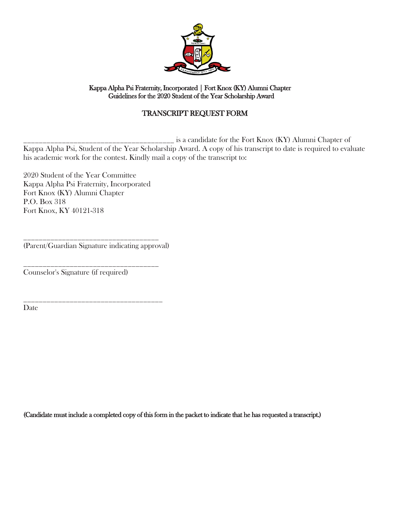

### TRANSCRIPT REQUEST FORM

\_\_\_\_\_\_\_\_\_\_\_\_\_\_\_\_\_\_\_\_\_\_\_\_\_\_\_\_\_\_\_\_\_\_\_\_\_\_\_ is a candidate for the Fort Knox (KY) Alumni Chapter of Kappa Alpha Psi, Student of the Year Scholarship Award. A copy of his transcript to date is required to evaluate his academic work for the contest. Kindly mail a copy of the transcript to:

2020 Student of the Year Committee Kappa Alpha Psi Fraternity, Incorporated Fort Knox (KY) Alumni Chapter P.O. Box 318 Fort Knox, KY 40121-318

\_\_\_\_\_\_\_\_\_\_\_\_\_\_\_\_\_\_\_\_\_\_\_\_\_\_\_\_\_\_\_\_\_\_\_ (Parent/Guardian Signature indicating approval)

\_\_\_\_\_\_\_\_\_\_\_\_\_\_\_\_\_\_\_\_\_\_\_\_\_\_\_\_\_\_\_\_\_\_\_\_

\_\_\_\_\_\_\_\_\_\_\_\_\_\_\_\_\_\_\_\_\_\_\_\_\_\_\_\_\_\_\_\_\_\_\_ Counselor's Signature (if required)

Date

(Candidate must include a completed copy of this form in the packet to indicate that he has requested a transcript.)